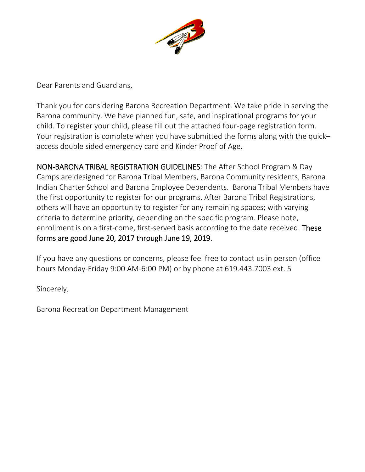

Dear Parents and Guardians,

Thank you for considering Barona Recreation Department. We take pride in serving the Barona community. We have planned fun, safe, and inspirational programs for your child. To register your child, please fill out the attached four‐page registration form. Your registration is complete when you have submitted the forms along with the quick– access double sided emergency card and Kinder Proof of Age.

NON‐BARONA TRIBAL REGISTRATION GUIDELINES: The After School Program & Day Camps are designed for Barona Tribal Members, Barona Community residents, Barona Indian Charter School and Barona Employee Dependents. Barona Tribal Members have the first opportunity to register for our programs. After Barona Tribal Registrations, others will have an opportunity to register for any remaining spaces; with varying criteria to determine priority, depending on the specific program. Please note, enrollment is on a first-come, first-served basis according to the date received. These forms are good June 20, 2017 through June 19, 2019.

If you have any questions or concerns, please feel free to contact us in person (office hours Monday‐Friday 9:00 AM‐6:00 PM) or by phone at 619.443.7003 ext. 5

Sincerely,

Barona Recreation Department Management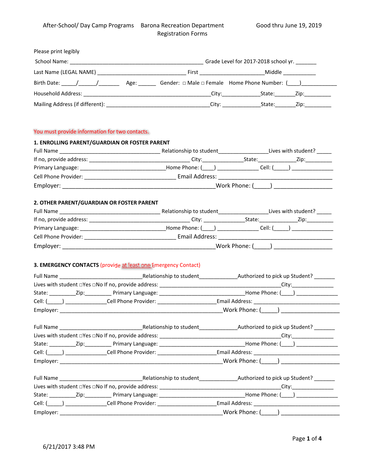| Please print legibly                                                                                                                                                  |                                                                                                                |        |                                                                                                                |
|-----------------------------------------------------------------------------------------------------------------------------------------------------------------------|----------------------------------------------------------------------------------------------------------------|--------|----------------------------------------------------------------------------------------------------------------|
|                                                                                                                                                                       | Grade Level for 2017-2018 school yr.                                                                           |        |                                                                                                                |
|                                                                                                                                                                       | First Middle                                                                                                   |        |                                                                                                                |
| Birth Date: $\left(\begin{array}{c c} & \end{array}\right)$ Age: Gender: $\Box$ Male $\Box$ Female Home Phone Number: $\left(\begin{array}{c c} & \end{array}\right)$ |                                                                                                                |        |                                                                                                                |
|                                                                                                                                                                       | City:                                                                                                          |        | State: <u>Zip:</u> Zip:                                                                                        |
|                                                                                                                                                                       | City: the control of the control of the control of the control of the control of the control of the control of | State: | Zip: will be a series of the series of the series of the series of the series of the series of the series of t |

## You must provide information for two contacts.

|  | 1. ENROLLING PARENT/GUARDIAN OR FOSTER PARENT                                                                        |  |  |
|--|----------------------------------------------------------------------------------------------------------------------|--|--|
|  |                                                                                                                      |  |  |
|  |                                                                                                                      |  |  |
|  |                                                                                                                      |  |  |
|  |                                                                                                                      |  |  |
|  |                                                                                                                      |  |  |
|  | 2. OTHER PARENT/GUARDIAN OR FOSTER PARENT                                                                            |  |  |
|  |                                                                                                                      |  |  |
|  |                                                                                                                      |  |  |
|  | Primary Language: ___________________________________Home Phone: (____) ________________Cell: (_____) ______________ |  |  |
|  |                                                                                                                      |  |  |
|  |                                                                                                                      |  |  |
|  |                                                                                                                      |  |  |
|  | 3. EMERGENCY CONTACTS (provide at least one Emergency Contact)                                                       |  |  |
|  |                                                                                                                      |  |  |
|  |                                                                                                                      |  |  |
|  |                                                                                                                      |  |  |
|  |                                                                                                                      |  |  |
|  |                                                                                                                      |  |  |
|  |                                                                                                                      |  |  |
|  |                                                                                                                      |  |  |
|  |                                                                                                                      |  |  |
|  |                                                                                                                      |  |  |
|  |                                                                                                                      |  |  |
|  |                                                                                                                      |  |  |
|  |                                                                                                                      |  |  |
|  |                                                                                                                      |  |  |
|  |                                                                                                                      |  |  |
|  |                                                                                                                      |  |  |
|  |                                                                                                                      |  |  |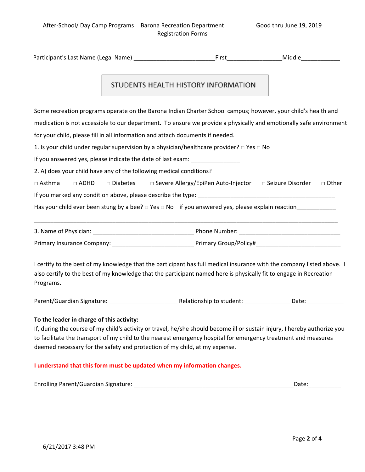|                                                                     | STUDENTS HEALTH HISTORY INFORMATION                                                                                                                                                                                                                                                                                        |                                                                                                                    |
|---------------------------------------------------------------------|----------------------------------------------------------------------------------------------------------------------------------------------------------------------------------------------------------------------------------------------------------------------------------------------------------------------------|--------------------------------------------------------------------------------------------------------------------|
|                                                                     | Some recreation programs operate on the Barona Indian Charter School campus; however, your child's health and                                                                                                                                                                                                              | medication is not accessible to our department. To ensure we provide a physically and emotionally safe environment |
|                                                                     | for your child, please fill in all information and attach documents if needed.                                                                                                                                                                                                                                             |                                                                                                                    |
|                                                                     | 1. Is your child under regular supervision by a physician/healthcare provider? $\Box$ Yes $\Box$ No                                                                                                                                                                                                                        |                                                                                                                    |
|                                                                     | If you answered yes, please indicate the date of last exam: ____________________                                                                                                                                                                                                                                           |                                                                                                                    |
| 2. A) does your child have any of the following medical conditions? |                                                                                                                                                                                                                                                                                                                            |                                                                                                                    |
| $\Box$ Asthma<br>$\Box$ ADHD                                        | □ Diabetes □ Severe Allergy/EpiPen Auto-Injector □ Seizure Disorder                                                                                                                                                                                                                                                        | □ Other                                                                                                            |
|                                                                     |                                                                                                                                                                                                                                                                                                                            |                                                                                                                    |
|                                                                     | Has your child ever been stung by a bee? $\Box$ Yes $\Box$ No if you answered yes, please explain reaction                                                                                                                                                                                                                 |                                                                                                                    |
|                                                                     |                                                                                                                                                                                                                                                                                                                            |                                                                                                                    |
|                                                                     |                                                                                                                                                                                                                                                                                                                            |                                                                                                                    |
| Programs.                                                           | I certify to the best of my knowledge that the participant has full medical insurance with the company listed above. I<br>also certify to the best of my knowledge that the participant named here is physically fit to engage in Recreation                                                                               |                                                                                                                    |
|                                                                     |                                                                                                                                                                                                                                                                                                                            |                                                                                                                    |
| To the leader in charge of this activity:                           | If, during the course of my child's activity or travel, he/she should become ill or sustain injury, I hereby authorize you<br>to facilitate the transport of my child to the nearest emergency hospital for emergency treatment and measures<br>deemed necessary for the safety and protection of my child, at my expense. |                                                                                                                    |
|                                                                     | I understand that this form must be updated when my information changes.                                                                                                                                                                                                                                                   |                                                                                                                    |
|                                                                     |                                                                                                                                                                                                                                                                                                                            |                                                                                                                    |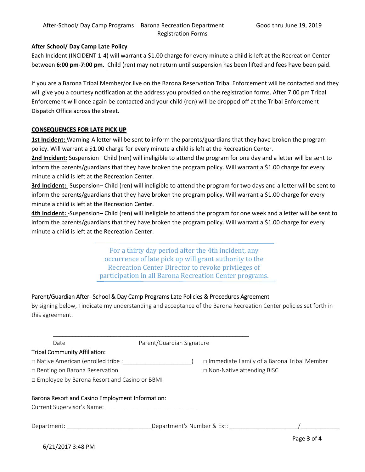### **After School/ Day Camp Late Policy**

Each Incident (INCIDENT 1-4) will warrant a \$1.00 charge for every minute a child is left at the Recreation Center between **6:00 pm‐7:00 pm.** Child (ren) may not return until suspension has been lifted and fees have been paid.

 If you are a Barona Tribal Member/or live on the Barona Reservation Tribal Enforcement will be contacted and they will give you a courtesy notification at the address you provided on the registration forms. After 7:00 pm Tribal Enforcement will once again be contacted and your child (ren) will be dropped off at the Tribal Enforcement Dispatch Office across the street.

### **CONSEQUENCES FOR LATE PICK UP**

**1st Incident:** Warning‐A letter will be sent to inform the parents/guardians that they have broken the program policy. Will warrant a \$1.00 charge for every minute a child is left at the Recreation Center.

**2nd Incident:** Suspension– Child (ren) will ineligible to attend the program for one day and a letter will be sent to inform the parents/guardians that they have broken the program policy. Will warrant a \$1.00 charge for every minute a child is left at the Recreation Center.

**3rd Incident:** ‐Suspension– Child (ren) will ineligible to attend the program for two days and a letter will be sent to inform the parents/guardians that they have broken the program policy. Will warrant a \$1.00 charge for every minute a child is left at the Recreation Center.

**4th Incident:** ‐Suspension– Child (ren) will ineligible to attend the program for one week and a letter will be sent to inform the parents/guardians that they have broken the program policy. Will warrant a \$1.00 charge for every minute a child is left at the Recreation Center.

> For a thirty day period after the 4th incident, any occurrence of late pick up will grant authority to the Recreation Center Director to revoke privileges of participation in all Barona Recreation Center programs.

### Parent/Guardian After‐ School & Day Camp Programs Late Policies & Procedures Agreement

By signing below, I indicate my understanding and acceptance of the Barona Recreation Center policies set forth in this agreement.

| Date                                                                                                            | Parent/Guardian Signature                    |
|-----------------------------------------------------------------------------------------------------------------|----------------------------------------------|
| <b>Tribal Community Affiliation:</b>                                                                            |                                              |
| □ Native American (enrolled tribe:                                                                              | □ Immediate Family of a Barona Tribal Member |
| □ Renting on Barona Reservation                                                                                 | $\Box$ Non-Native attending BISC             |
| □ Employee by Barona Resort and Casino or BBMI                                                                  |                                              |
|                                                                                                                 |                                              |
| Barona Resort and Casino Employment Information:                                                                |                                              |
| Current Supervisor's Name: Name: Name and National Assembly Current Control of the Current Current Current Curr |                                              |
|                                                                                                                 |                                              |
|                                                                                                                 | Department's Number & Ext:                   |
|                                                                                                                 | Page 3 of 4                                  |